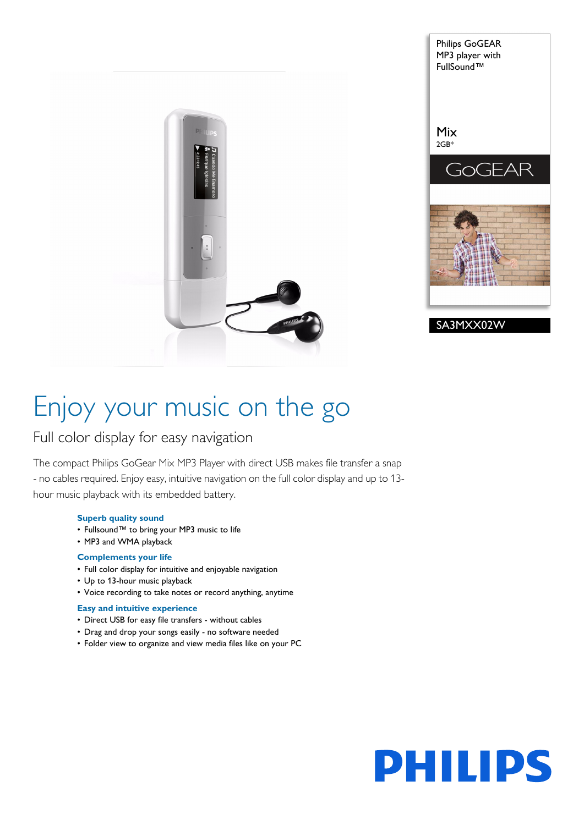



# Enjoy your music on the go

## Full color display for easy navigation

The compact Philips GoGear Mix MP3 Player with direct USB makes file transfer a snap - no cables required. Enjoy easy, intuitive navigation on the full color display and up to 13 hour music playback with its embedded battery.

#### **Superb quality sound**

- Fullsound™ to bring your MP3 music to life
- MP3 and WMA playback

### **Complements your life**

- Full color display for intuitive and enjoyable navigation
- Up to 13-hour music playback
- Voice recording to take notes or record anything, anytime

#### **Easy and intuitive experience**

- Direct USB for easy file transfers without cables
- Drag and drop your songs easily no software needed
- Folder view to organize and view media files like on your PC

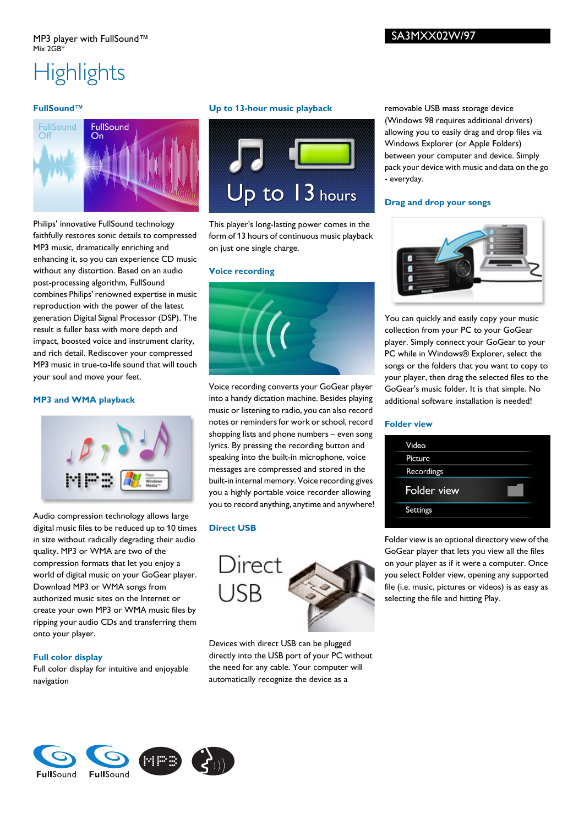# **Highlights**

### **FullSound™**



Philips' innovative FullSound technology faithfully restores sonic details to compressed MP3 music, dramatically enriching and enhancing it, so you can experience CD music without any distortion. Based on an audio post-processing algorithm, FullSound combines Philips' renowned expertise in music reproduction with the power of the latest generation Digital Signal Processor (DSP). The result is fuller bass with more depth and impact, boosted voice and instrument clarity, and rich detail. Rediscover your compressed MP3 music in true-to-life sound that will touch your soul and move your feet.

### **MP3 and WMA playback**



Audio compression technology allows large digital music files to be reduced up to 10 times in size without radically degrading their audio quality. MP3 or WMA are two of the compression formats that let you enjoy a world of digital music on your GoGear player. Download MP3 or WMA songs from authorized music sites on the Internet or create your own MP3 or WMA music files by ripping your audio CDs and transferring them onto your player.

## **Full color display**

Full color display for intuitive and enjoyable navigation

## **Up to 13-hour music playback**



This player's long-lasting power comes in the form of 13 hours of continuous music playback on just one single charge.

#### **Voice recording**



Voice recording converts your GoGear player into a handy dictation machine. Besides playing music or listening to radio, you can also record notes or reminders for work or school, record shopping lists and phone numbers – even song lyrics. By pressing the recording button and speaking into the built-in microphone, voice messages are compressed and stored in the built-in internal memory. Voice recording gives you a highly portable voice recorder allowing you to record anything, anytime and anywhere!

## **Direct USB**



Devices with direct USB can be plugged directly into the USB port of your PC without the need for any cable. Your computer will automatically recognize the device as a

removable USB mass storage device (Windows 98 requires additional drivers) allowing you to easily drag and drop files via Windows Explorer (or Apple Folders) between your computer and device. Simply pack your device with music and data on the go - everyday.

#### **Drag and drop your songs**



You can quickly and easily copy your music collection from your PC to your GoGear player. Simply connect your GoGear to your PC while in Windows® Explorer, select the songs or the folders that you want to copy to your player, then drag the selected files to the GoGear's music folder. It is that simple. No additional software installation is needed!

#### **Folder view**

Folder view is an optional directory view of the GoGear player that lets you view all the files on your player as if it were a computer. Once you select Folder view, opening any supported file (i.e. music, pictures or videos) is as easy as selecting the file and hitting Play.